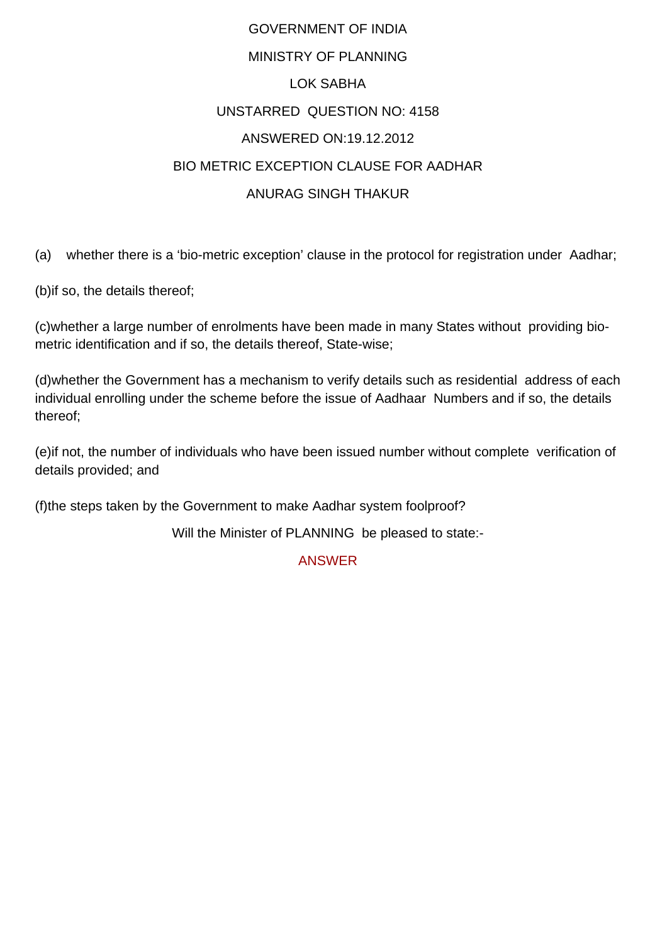## GOVERNMENT OF INDIA MINISTRY OF PLANNING LOK SABHA UNSTARRED QUESTION NO: 4158 ANSWERED ON:19.12.2012 BIO METRIC EXCEPTION CLAUSE FOR AADHAR ANURAG SINGH THAKUR

(a) whether there is a 'bio-metric exception' clause in the protocol for registration under Aadhar;

(b)if so, the details thereof;

(c)whether a large number of enrolments have been made in many States without providing biometric identification and if so, the details thereof, State-wise;

(d)whether the Government has a mechanism to verify details such as residential address of each individual enrolling under the scheme before the issue of Aadhaar Numbers and if so, the details thereof;

(e)if not, the number of individuals who have been issued number without complete verification of details provided; and

(f)the steps taken by the Government to make Aadhar system foolproof?

Will the Minister of PLANNING be pleased to state:-

ANSWER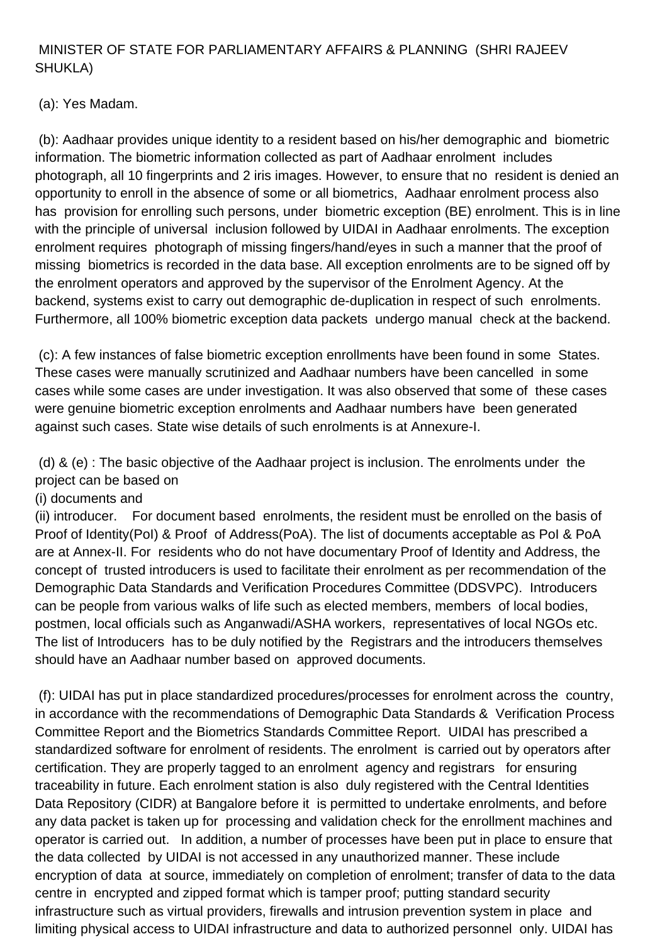## MINISTER OF STATE FOR PARLIAMENTARY AFFAIRS & PLANNING (SHRI RAJEEV SHUKLA)

(a): Yes Madam.

 (b): Aadhaar provides unique identity to a resident based on his/her demographic and biometric information. The biometric information collected as part of Aadhaar enrolment includes photograph, all 10 fingerprints and 2 iris images. However, to ensure that no resident is denied an opportunity to enroll in the absence of some or all biometrics, Aadhaar enrolment process also has provision for enrolling such persons, under biometric exception (BE) enrolment. This is in line with the principle of universal inclusion followed by UIDAI in Aadhaar enrolments. The exception enrolment requires photograph of missing fingers/hand/eyes in such a manner that the proof of missing biometrics is recorded in the data base. All exception enrolments are to be signed off by the enrolment operators and approved by the supervisor of the Enrolment Agency. At the backend, systems exist to carry out demographic de-duplication in respect of such enrolments. Furthermore, all 100% biometric exception data packets undergo manual check at the backend.

 (c): A few instances of false biometric exception enrollments have been found in some States. These cases were manually scrutinized and Aadhaar numbers have been cancelled in some cases while some cases are under investigation. It was also observed that some of these cases were genuine biometric exception enrolments and Aadhaar numbers have been generated against such cases. State wise details of such enrolments is at Annexure-I.

 (d) & (e) : The basic objective of the Aadhaar project is inclusion. The enrolments under the project can be based on

(i) documents and

(ii) introducer. For document based enrolments, the resident must be enrolled on the basis of Proof of Identity(PoI) & Proof of Address(PoA). The list of documents acceptable as PoI & PoA are at Annex-II. For residents who do not have documentary Proof of Identity and Address, the concept of trusted introducers is used to facilitate their enrolment as per recommendation of the Demographic Data Standards and Verification Procedures Committee (DDSVPC). Introducers can be people from various walks of life such as elected members, members of local bodies, postmen, local officials such as Anganwadi/ASHA workers, representatives of local NGOs etc. The list of Introducers has to be duly notified by the Registrars and the introducers themselves should have an Aadhaar number based on approved documents.

 (f): UIDAI has put in place standardized procedures/processes for enrolment across the country, in accordance with the recommendations of Demographic Data Standards & Verification Process Committee Report and the Biometrics Standards Committee Report. UIDAI has prescribed a standardized software for enrolment of residents. The enrolment is carried out by operators after certification. They are properly tagged to an enrolment agency and registrars for ensuring traceability in future. Each enrolment station is also duly registered with the Central Identities Data Repository (CIDR) at Bangalore before it is permitted to undertake enrolments, and before any data packet is taken up for processing and validation check for the enrollment machines and operator is carried out. In addition, a number of processes have been put in place to ensure that the data collected by UIDAI is not accessed in any unauthorized manner. These include encryption of data at source, immediately on completion of enrolment; transfer of data to the data centre in encrypted and zipped format which is tamper proof; putting standard security infrastructure such as virtual providers, firewalls and intrusion prevention system in place and limiting physical access to UIDAI infrastructure and data to authorized personnel only. UIDAI has